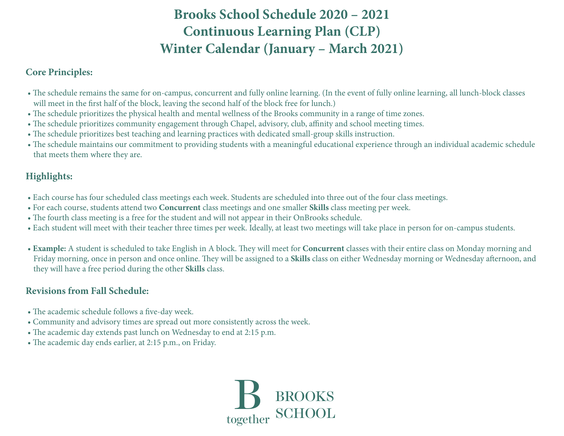# **Brooks School Schedule 2020 – 2021 Continuous Learning Plan (CLP) Winter Calendar (January – March 2021)**

#### **Core Principles:**

- The schedule remains the same for on-campus, concurrent and fully online learning. (In the event of fully online learning, all lunch-block classes will meet in the first half of the block, leaving the second half of the block free for lunch.)
- The schedule prioritizes the physical health and mental wellness of the Brooks community in a range of time zones.
- The schedule prioritizes community engagement through Chapel, advisory, club, affinity and school meeting times.
- The schedule prioritizes best teaching and learning practices with dedicated small-group skills instruction.
- The schedule maintains our commitment to providing students with a meaningful educational experience through an individual academic schedule that meets them where they are.

## **Highlights:**

- Each course has four scheduled class meetings each week. Students are scheduled into three out of the four class meetings.
- For each course, students attend two **Concurrent** class meetings and one smaller **Skills** class meeting per week.
- The fourth class meeting is a free for the student and will not appear in their OnBrooks schedule.
- Each student will meet with their teacher three times per week. Ideally, at least two meetings will take place in person for on-campus students.
- **Example:** A student is scheduled to take English in A block. They will meet for **Concurrent** classes with their entire class on Monday morning and Friday morning, once in person and once online. They will be assigned to a **Skills** class on either Wednesday morning or Wednesday afternoon, and they will have a free period during the other **Skills** class.

### **Revisions from Fall Schedule:**

- The academic schedule follows a five-day week.
- Community and advisory times are spread out more consistently across the week.
- The academic day extends past lunch on Wednesday to end at 2:15 p.m.
- The academic day ends earlier, at 2:15 p.m., on Friday.